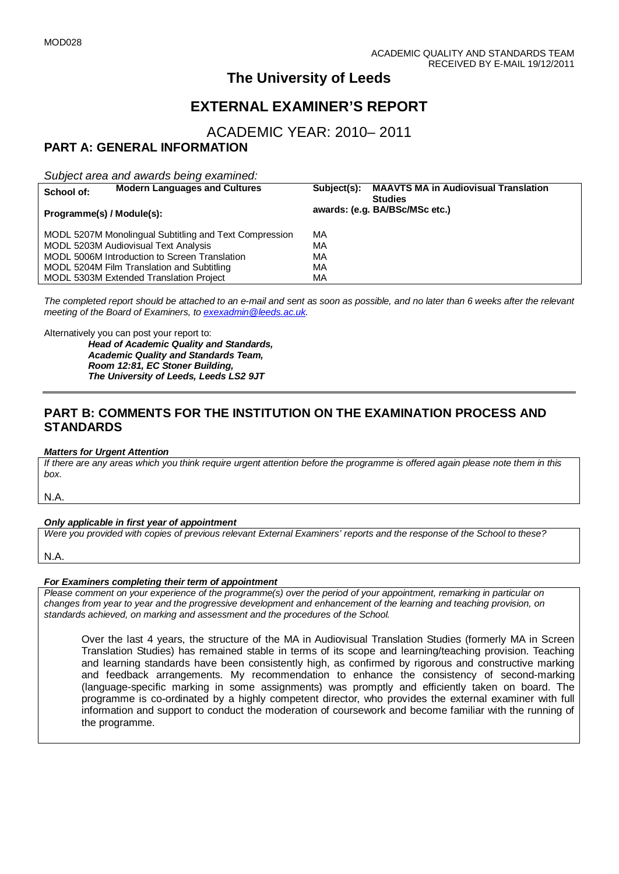# **The University of Leeds**

# **EXTERNAL EXAMINER'S REPORT**

ACADEMIC YEAR: 2010– 2011

## **PART A: GENERAL INFORMATION**

*Subject area and awards being examined:*

| School of:                                             | <b>Modern Languages and Cultures</b> | Subject(s):                    | <b>MAAVTS MA in Audiovisual Translation</b><br><b>Studies</b> |
|--------------------------------------------------------|--------------------------------------|--------------------------------|---------------------------------------------------------------|
| Programme(s) / Module(s):                              |                                      | awards: (e.g. BA/BSc/MSc etc.) |                                                               |
| MODL 5207M Monolingual Subtitling and Text Compression |                                      | MA                             |                                                               |
| MODL 5203M Audiovisual Text Analysis                   |                                      | МA                             |                                                               |
| MODL 5006M Introduction to Screen Translation          |                                      | MA                             |                                                               |
| MODL 5204M Film Translation and Subtitling             |                                      | MA                             |                                                               |
| MODL 5303M Extended Translation Project                |                                      | МA                             |                                                               |

*The completed report should be attached to an e-mail and sent as soon as possible, and no later than 6 weeks after the relevant meeting of the Board of Examiners, to [exexadmin@leeds.ac.uk.](mailto:exexadmin@leeds.ac.uk)*

Alternatively you can post your report to:

*Head of Academic Quality and Standards, Academic Quality and Standards Team, Room 12:81, EC Stoner Building, The University of Leeds, Leeds LS2 9JT*

## **PART B: COMMENTS FOR THE INSTITUTION ON THE EXAMINATION PROCESS AND STANDARDS**

#### *Matters for Urgent Attention*

*If there are any areas which you think require urgent attention before the programme is offered again please note them in this box.*

N.A.

#### *Only applicable in first year of appointment*

*Were you provided with copies of previous relevant External Examiners' reports and the response of the School to these?* 

N.A.

#### *For Examiners completing their term of appointment*

*Please comment on your experience of the programme(s) over the period of your appointment, remarking in particular on changes from year to year and the progressive development and enhancement of the learning and teaching provision, on standards achieved, on marking and assessment and the procedures of the School.* 

Over the last 4 years, the structure of the MA in Audiovisual Translation Studies (formerly MA in Screen Translation Studies) has remained stable in terms of its scope and learning/teaching provision. Teaching and learning standards have been consistently high, as confirmed by rigorous and constructive marking and feedback arrangements. My recommendation to enhance the consistency of second-marking (language-specific marking in some assignments) was promptly and efficiently taken on board. The programme is co-ordinated by a highly competent director, who provides the external examiner with full information and support to conduct the moderation of coursework and become familiar with the running of the programme.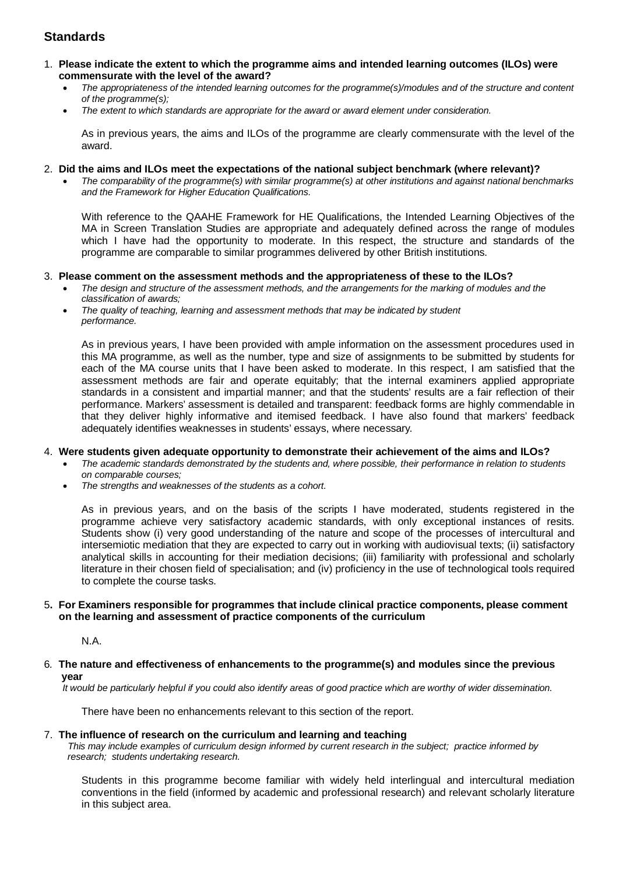### **Standards**

- 1. **Please indicate the extent to which the programme aims and intended learning outcomes (ILOs) were commensurate with the level of the award?**
	- *The appropriateness of the intended learning outcomes for the programme(s)/modules and of the structure and content of the programme(s);*
	- *The extent to which standards are appropriate for the award or award element under consideration.*

As in previous years, the aims and ILOs of the programme are clearly commensurate with the level of the award.

#### 2. **Did the aims and ILOs meet the expectations of the national subject benchmark (where relevant)?**

• *The comparability of the programme(s) with similar programme(s) at other institutions and against national benchmarks and the Framework for Higher Education Qualifications.*

With reference to the QAAHE Framework for HE Qualifications, the Intended Learning Objectives of the MA in Screen Translation Studies are appropriate and adequately defined across the range of modules which I have had the opportunity to moderate. In this respect, the structure and standards of the programme are comparable to similar programmes delivered by other British institutions.

#### 3. **Please comment on the assessment methods and the appropriateness of these to the ILOs?**

- *The design and structure of the assessment methods, and the arrangements for the marking of modules and the classification of awards;*
- *The quality of teaching, learning and assessment methods that may be indicated by student performance.*

As in previous years, I have been provided with ample information on the assessment procedures used in this MA programme, as well as the number, type and size of assignments to be submitted by students for each of the MA course units that I have been asked to moderate. In this respect, I am satisfied that the assessment methods are fair and operate equitably; that the internal examiners applied appropriate standards in a consistent and impartial manner; and that the students' results are a fair reflection of their performance. Markers' assessment is detailed and transparent: feedback forms are highly commendable in that they deliver highly informative and itemised feedback. I have also found that markers' feedback adequately identifies weaknesses in students' essays, where necessary.

#### 4. **Were students given adequate opportunity to demonstrate their achievement of the aims and ILOs?**

- *The academic standards demonstrated by the students and, where possible, their performance in relation to students on comparable courses;*
- *The strengths and weaknesses of the students as a cohort.*

As in previous years, and on the basis of the scripts I have moderated, students registered in the programme achieve very satisfactory academic standards, with only exceptional instances of resits. Students show (i) very good understanding of the nature and scope of the processes of intercultural and intersemiotic mediation that they are expected to carry out in working with audiovisual texts; (ii) satisfactory analytical skills in accounting for their mediation decisions; (iii) familiarity with professional and scholarly literature in their chosen field of specialisation; and (iv) proficiency in the use of technological tools required to complete the course tasks.

#### 5**. For Examiners responsible for programmes that include clinical practice components, please comment on the learning and assessment of practice components of the curriculum**

N.A.

#### 6*.* **The nature and effectiveness of enhancements to the programme(s) and modules since the previous year**

 *It would be particularly helpful if you could also identify areas of good practice which are worthy of wider dissemination.* 

There have been no enhancements relevant to this section of the report.

#### 7.**The influence of research on the curriculum and learning and teaching**

 *This may include examples of curriculum design informed by current research in the subject; practice informed by research; students undertaking research.* 

Students in this programme become familiar with widely held interlingual and intercultural mediation conventions in the field (informed by academic and professional research) and relevant scholarly literature in this subject area.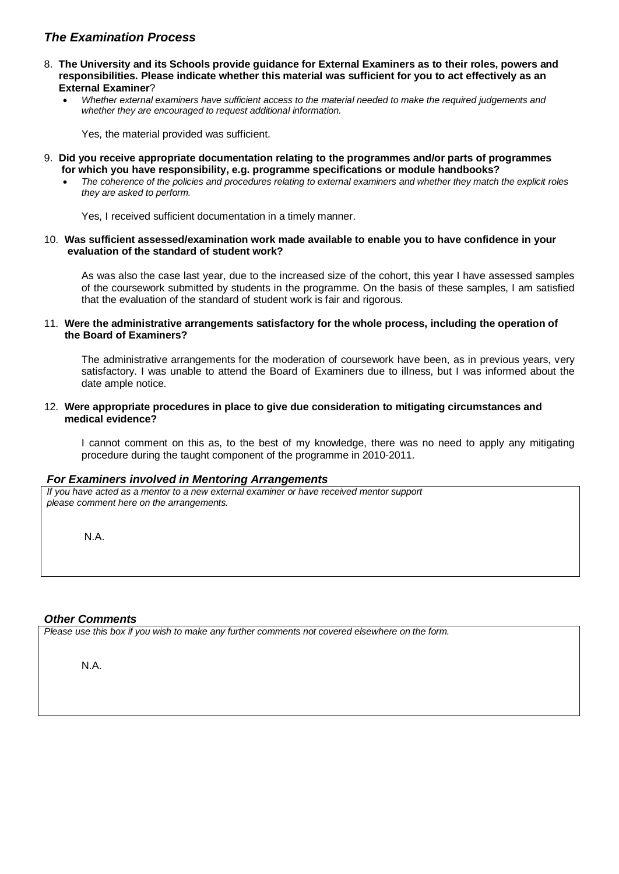### *The Examination Process*

- 8. **The University and its Schools provide guidance for External Examiners as to their roles, powers and responsibilities. Please indicate whether this material was sufficient for you to act effectively as an External Examiner**?
	- *Whether external examiners have sufficient access to the material needed to make the required judgements and whether they are encouraged to request additional information.*

Yes, the material provided was sufficient.

- 9. **Did you receive appropriate documentation relating to the programmes and/or parts of programmes for which you have responsibility, e.g. programme specifications or module handbooks?**
	- *The coherence of the policies and procedures relating to external examiners and whether they match the explicit roles they are asked to perform.*

Yes, I received sufficient documentation in a timely manner.

#### 10. **Was sufficient assessed/examination work made available to enable you to have confidence in your evaluation of the standard of student work?**

As was also the case last year, due to the increased size of the cohort, this year I have assessed samples of the coursework submitted by students in the programme. On the basis of these samples, I am satisfied that the evaluation of the standard of student work is fair and rigorous.

#### 11. **Were the administrative arrangements satisfactory for the whole process, including the operation of the Board of Examiners?**

The administrative arrangements for the moderation of coursework have been, as in previous years, very satisfactory. I was unable to attend the Board of Examiners due to illness, but I was informed about the date ample notice.

12. **Were appropriate procedures in place to give due consideration to mitigating circumstances and medical evidence?**

I cannot comment on this as, to the best of my knowledge, there was no need to apply any mitigating procedure during the taught component of the programme in 2010-2011.

#### *For Examiners involved in Mentoring Arrangements*

*If you have acted as a mentor to a new external examiner or have received mentor support please comment here on the arrangements.*

N.A.

#### *Other Comments*

*Please use this box if you wish to make any further comments not covered elsewhere on the form.*

N.A.